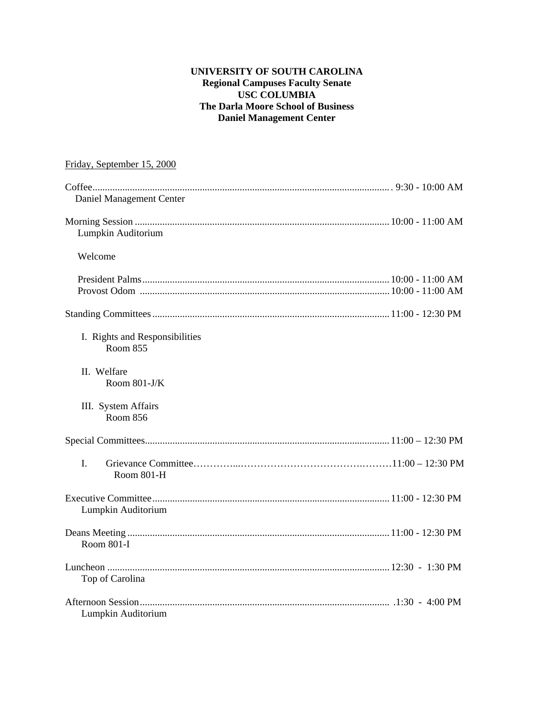#### **UNIVERSITY OF SOUTH CAROLINA Regional Campuses Faculty Senate USC COLUMBIA The Darla Moore School of Business Daniel Management Center**

| Friday, September 15, 2000                        |  |
|---------------------------------------------------|--|
| Daniel Management Center                          |  |
| Lumpkin Auditorium                                |  |
| Welcome                                           |  |
|                                                   |  |
|                                                   |  |
| I. Rights and Responsibilities<br><b>Room 855</b> |  |
| II. Welfare<br>Room 801-J/K                       |  |
| III. System Affairs<br>Room 856                   |  |
|                                                   |  |
| I.<br>Room 801-H                                  |  |
| Lumpkin Auditorium                                |  |
| Room 801-I                                        |  |
| Top of Carolina                                   |  |
| Lumpkin Auditorium                                |  |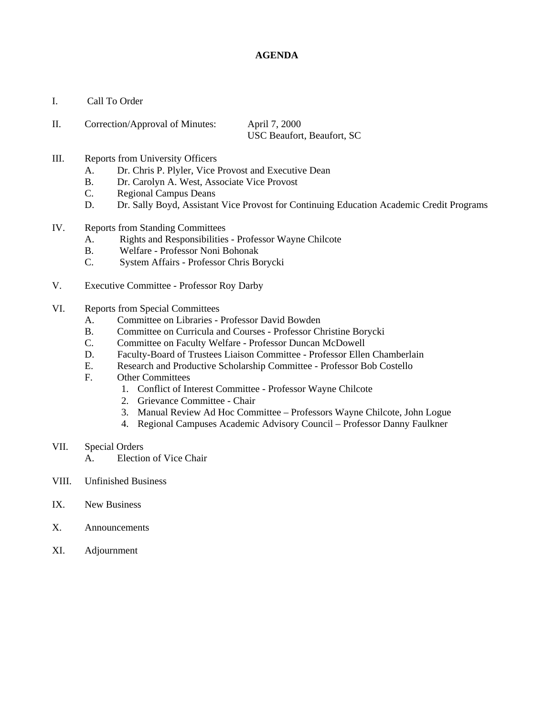#### **AGENDA**

- I. Call To Order
- II. Correction/Approval of Minutes: April 7, 2000 USC Beaufort, Beaufort, SC
- III. Reports from University Officers
	- A. Dr. Chris P. Plyler, Vice Provost and Executive Dean
	- B. Dr. Carolyn A. West, Associate Vice Provost
	- C. Regional Campus Deans
	- D. Dr. Sally Boyd, Assistant Vice Provost for Continuing Education Academic Credit Programs
- IV. Reports from Standing Committees
	- A. Rights and Responsibilities Professor Wayne Chilcote
	- B. Welfare Professor Noni Bohonak
	- C. System Affairs Professor Chris Borycki
- V. Executive Committee Professor Roy Darby
- VI. Reports from Special Committees
	- A. Committee on Libraries Professor David Bowden
	- B. Committee on Curricula and Courses Professor Christine Borycki
	- C. Committee on Faculty Welfare Professor Duncan McDowell
	- D. Faculty-Board of Trustees Liaison Committee Professor Ellen Chamberlain
	- E. Research and Productive Scholarship Committee Professor Bob Costello
	- F. Other Committees
		- 1. Conflict of Interest Committee Professor Wayne Chilcote
		- 2. Grievance Committee Chair
		- 3. Manual Review Ad Hoc Committee Professors Wayne Chilcote, John Logue
		- 4. Regional Campuses Academic Advisory Council Professor Danny Faulkner
- VII. Special Orders
	- A. Election of Vice Chair
- VIII. Unfinished Business
- IX. New Business
- X. Announcements
- XI. Adjournment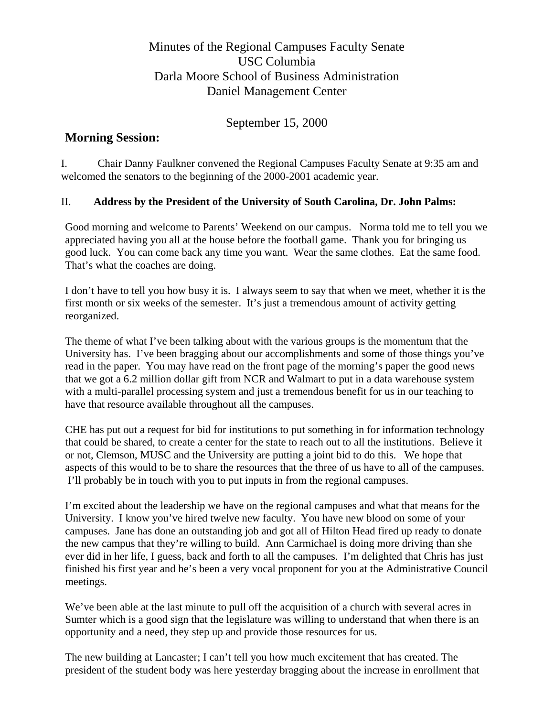# Minutes of the Regional Campuses Faculty Senate USC Columbia Darla Moore School of Business Administration Daniel Management Center

September 15, 2000

# **Morning Session:**

I. Chair Danny Faulkner convened the Regional Campuses Faculty Senate at 9:35 am and welcomed the senators to the beginning of the 2000-2001 academic year.

# II. **Address by the President of the University of South Carolina, Dr. John Palms:**

Good morning and welcome to Parents' Weekend on our campus. Norma told me to tell you we appreciated having you all at the house before the football game. Thank you for bringing us good luck. You can come back any time you want. Wear the same clothes. Eat the same food. That's what the coaches are doing.

I don't have to tell you how busy it is. I always seem to say that when we meet, whether it is the first month or six weeks of the semester. It's just a tremendous amount of activity getting reorganized.

The theme of what I've been talking about with the various groups is the momentum that the University has. I've been bragging about our accomplishments and some of those things you've read in the paper. You may have read on the front page of the morning's paper the good news that we got a 6.2 million dollar gift from NCR and Walmart to put in a data warehouse system with a multi-parallel processing system and just a tremendous benefit for us in our teaching to have that resource available throughout all the campuses.

CHE has put out a request for bid for institutions to put something in for information technology that could be shared, to create a center for the state to reach out to all the institutions. Believe it or not, Clemson, MUSC and the University are putting a joint bid to do this. We hope that aspects of this would to be to share the resources that the three of us have to all of the campuses. I'll probably be in touch with you to put inputs in from the regional campuses.

I'm excited about the leadership we have on the regional campuses and what that means for the University. I know you've hired twelve new faculty. You have new blood on some of your campuses. Jane has done an outstanding job and got all of Hilton Head fired up ready to donate the new campus that they're willing to build. Ann Carmichael is doing more driving than she ever did in her life, I guess, back and forth to all the campuses. I'm delighted that Chris has just finished his first year and he's been a very vocal proponent for you at the Administrative Council meetings.

We've been able at the last minute to pull off the acquisition of a church with several acres in Sumter which is a good sign that the legislature was willing to understand that when there is an opportunity and a need, they step up and provide those resources for us.

The new building at Lancaster; I can't tell you how much excitement that has created. The president of the student body was here yesterday bragging about the increase in enrollment that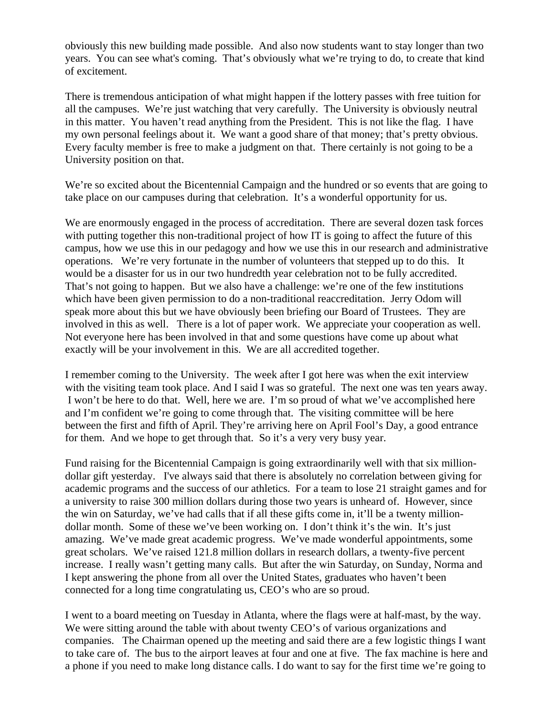obviously this new building made possible. And also now students want to stay longer than two years. You can see what's coming. That's obviously what we're trying to do, to create that kind of excitement.

There is tremendous anticipation of what might happen if the lottery passes with free tuition for all the campuses. We're just watching that very carefully. The University is obviously neutral in this matter. You haven't read anything from the President. This is not like the flag. I have my own personal feelings about it. We want a good share of that money; that's pretty obvious. Every faculty member is free to make a judgment on that. There certainly is not going to be a University position on that.

We're so excited about the Bicentennial Campaign and the hundred or so events that are going to take place on our campuses during that celebration. It's a wonderful opportunity for us.

We are enormously engaged in the process of accreditation. There are several dozen task forces with putting together this non-traditional project of how IT is going to affect the future of this campus, how we use this in our pedagogy and how we use this in our research and administrative operations. We're very fortunate in the number of volunteers that stepped up to do this. It would be a disaster for us in our two hundredth year celebration not to be fully accredited. That's not going to happen. But we also have a challenge: we're one of the few institutions which have been given permission to do a non-traditional reaccreditation. Jerry Odom will speak more about this but we have obviously been briefing our Board of Trustees. They are involved in this as well. There is a lot of paper work. We appreciate your cooperation as well. Not everyone here has been involved in that and some questions have come up about what exactly will be your involvement in this. We are all accredited together.

I remember coming to the University. The week after I got here was when the exit interview with the visiting team took place. And I said I was so grateful. The next one was ten years away. I won't be here to do that. Well, here we are. I'm so proud of what we've accomplished here and I'm confident we're going to come through that. The visiting committee will be here between the first and fifth of April. They're arriving here on April Fool's Day, a good entrance for them. And we hope to get through that. So it's a very very busy year.

Fund raising for the Bicentennial Campaign is going extraordinarily well with that six milliondollar gift yesterday. I've always said that there is absolutely no correlation between giving for academic programs and the success of our athletics. For a team to lose 21 straight games and for a university to raise 300 million dollars during those two years is unheard of. However, since the win on Saturday, we've had calls that if all these gifts come in, it'll be a twenty milliondollar month. Some of these we've been working on. I don't think it's the win. It's just amazing. We've made great academic progress. We've made wonderful appointments, some great scholars. We've raised 121.8 million dollars in research dollars, a twenty-five percent increase. I really wasn't getting many calls. But after the win Saturday, on Sunday, Norma and I kept answering the phone from all over the United States, graduates who haven't been connected for a long time congratulating us, CEO's who are so proud.

I went to a board meeting on Tuesday in Atlanta, where the flags were at half-mast, by the way. We were sitting around the table with about twenty CEO's of various organizations and companies. The Chairman opened up the meeting and said there are a few logistic things I want to take care of. The bus to the airport leaves at four and one at five. The fax machine is here and a phone if you need to make long distance calls. I do want to say for the first time we're going to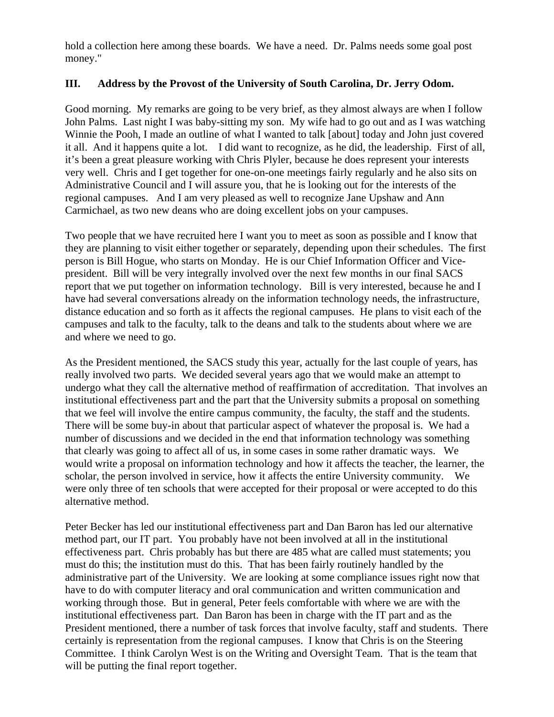hold a collection here among these boards. We have a need. Dr. Palms needs some goal post money."

#### **III. Address by the Provost of the University of South Carolina, Dr. Jerry Odom.**

Good morning. My remarks are going to be very brief, as they almost always are when I follow John Palms. Last night I was baby-sitting my son. My wife had to go out and as I was watching Winnie the Pooh, I made an outline of what I wanted to talk [about] today and John just covered it all. And it happens quite a lot. I did want to recognize, as he did, the leadership. First of all, it's been a great pleasure working with Chris Plyler, because he does represent your interests very well. Chris and I get together for one-on-one meetings fairly regularly and he also sits on Administrative Council and I will assure you, that he is looking out for the interests of the regional campuses. And I am very pleased as well to recognize Jane Upshaw and Ann Carmichael, as two new deans who are doing excellent jobs on your campuses.

Two people that we have recruited here I want you to meet as soon as possible and I know that they are planning to visit either together or separately, depending upon their schedules. The first person is Bill Hogue, who starts on Monday. He is our Chief Information Officer and Vicepresident. Bill will be very integrally involved over the next few months in our final SACS report that we put together on information technology. Bill is very interested, because he and I have had several conversations already on the information technology needs, the infrastructure, distance education and so forth as it affects the regional campuses. He plans to visit each of the campuses and talk to the faculty, talk to the deans and talk to the students about where we are and where we need to go.

As the President mentioned, the SACS study this year, actually for the last couple of years, has really involved two parts. We decided several years ago that we would make an attempt to undergo what they call the alternative method of reaffirmation of accreditation. That involves an institutional effectiveness part and the part that the University submits a proposal on something that we feel will involve the entire campus community, the faculty, the staff and the students. There will be some buy-in about that particular aspect of whatever the proposal is. We had a number of discussions and we decided in the end that information technology was something that clearly was going to affect all of us, in some cases in some rather dramatic ways. We would write a proposal on information technology and how it affects the teacher, the learner, the scholar, the person involved in service, how it affects the entire University community. We were only three of ten schools that were accepted for their proposal or were accepted to do this alternative method.

Peter Becker has led our institutional effectiveness part and Dan Baron has led our alternative method part, our IT part. You probably have not been involved at all in the institutional effectiveness part. Chris probably has but there are 485 what are called must statements; you must do this; the institution must do this. That has been fairly routinely handled by the administrative part of the University. We are looking at some compliance issues right now that have to do with computer literacy and oral communication and written communication and working through those. But in general, Peter feels comfortable with where we are with the institutional effectiveness part. Dan Baron has been in charge with the IT part and as the President mentioned, there a number of task forces that involve faculty, staff and students. There certainly is representation from the regional campuses. I know that Chris is on the Steering Committee. I think Carolyn West is on the Writing and Oversight Team. That is the team that will be putting the final report together.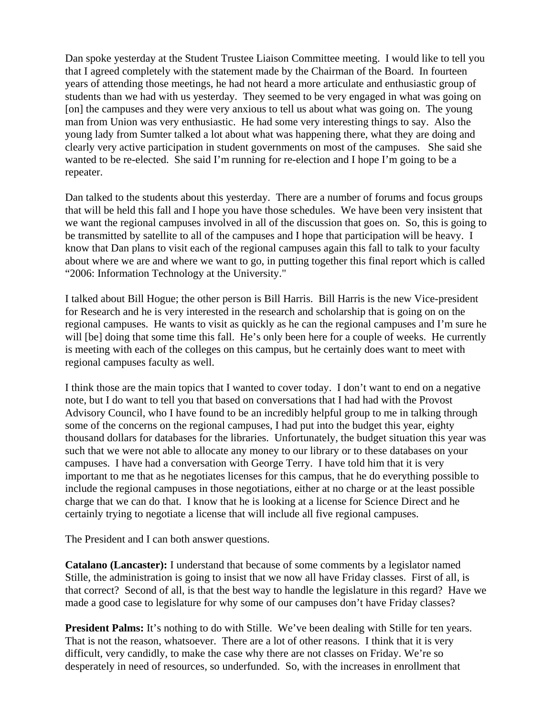Dan spoke yesterday at the Student Trustee Liaison Committee meeting. I would like to tell you that I agreed completely with the statement made by the Chairman of the Board. In fourteen years of attending those meetings, he had not heard a more articulate and enthusiastic group of students than we had with us yesterday. They seemed to be very engaged in what was going on [on] the campuses and they were very anxious to tell us about what was going on. The young man from Union was very enthusiastic. He had some very interesting things to say. Also the young lady from Sumter talked a lot about what was happening there, what they are doing and clearly very active participation in student governments on most of the campuses. She said she wanted to be re-elected. She said I'm running for re-election and I hope I'm going to be a repeater.

Dan talked to the students about this yesterday. There are a number of forums and focus groups that will be held this fall and I hope you have those schedules. We have been very insistent that we want the regional campuses involved in all of the discussion that goes on. So, this is going to be transmitted by satellite to all of the campuses and I hope that participation will be heavy. I know that Dan plans to visit each of the regional campuses again this fall to talk to your faculty about where we are and where we want to go, in putting together this final report which is called "2006: Information Technology at the University."

I talked about Bill Hogue; the other person is Bill Harris. Bill Harris is the new Vice-president for Research and he is very interested in the research and scholarship that is going on on the regional campuses. He wants to visit as quickly as he can the regional campuses and I'm sure he will [be] doing that some time this fall. He's only been here for a couple of weeks. He currently is meeting with each of the colleges on this campus, but he certainly does want to meet with regional campuses faculty as well.

I think those are the main topics that I wanted to cover today. I don't want to end on a negative note, but I do want to tell you that based on conversations that I had had with the Provost Advisory Council, who I have found to be an incredibly helpful group to me in talking through some of the concerns on the regional campuses, I had put into the budget this year, eighty thousand dollars for databases for the libraries. Unfortunately, the budget situation this year was such that we were not able to allocate any money to our library or to these databases on your campuses. I have had a conversation with George Terry. I have told him that it is very important to me that as he negotiates licenses for this campus, that he do everything possible to include the regional campuses in those negotiations, either at no charge or at the least possible charge that we can do that. I know that he is looking at a license for Science Direct and he certainly trying to negotiate a license that will include all five regional campuses.

The President and I can both answer questions.

**Catalano (Lancaster):** I understand that because of some comments by a legislator named Stille, the administration is going to insist that we now all have Friday classes. First of all, is that correct? Second of all, is that the best way to handle the legislature in this regard? Have we made a good case to legislature for why some of our campuses don't have Friday classes?

**President Palms:** It's nothing to do with Stille. We've been dealing with Stille for ten years. That is not the reason, whatsoever. There are a lot of other reasons. I think that it is very difficult, very candidly, to make the case why there are not classes on Friday. We're so desperately in need of resources, so underfunded. So, with the increases in enrollment that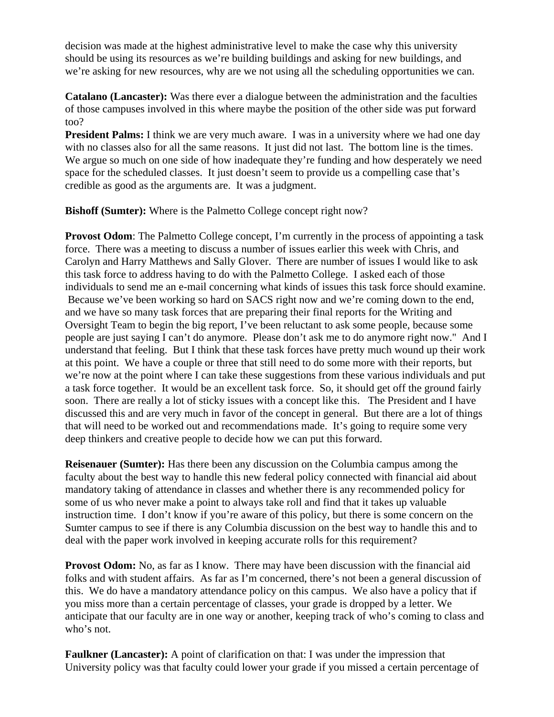decision was made at the highest administrative level to make the case why this university should be using its resources as we're building buildings and asking for new buildings, and we're asking for new resources, why are we not using all the scheduling opportunities we can.

**Catalano (Lancaster):** Was there ever a dialogue between the administration and the faculties of those campuses involved in this where maybe the position of the other side was put forward too?

**President Palms:** I think we are very much aware. I was in a university where we had one day with no classes also for all the same reasons. It just did not last. The bottom line is the times. We argue so much on one side of how inadequate they're funding and how desperately we need space for the scheduled classes. It just doesn't seem to provide us a compelling case that's credible as good as the arguments are. It was a judgment.

**Bishoff (Sumter):** Where is the Palmetto College concept right now?

**Provost Odom:** The Palmetto College concept, I'm currently in the process of appointing a task force. There was a meeting to discuss a number of issues earlier this week with Chris, and Carolyn and Harry Matthews and Sally Glover. There are number of issues I would like to ask this task force to address having to do with the Palmetto College. I asked each of those individuals to send me an e-mail concerning what kinds of issues this task force should examine. Because we've been working so hard on SACS right now and we're coming down to the end, and we have so many task forces that are preparing their final reports for the Writing and Oversight Team to begin the big report, I've been reluctant to ask some people, because some people are just saying I can't do anymore. Please don't ask me to do anymore right now." And I understand that feeling. But I think that these task forces have pretty much wound up their work at this point. We have a couple or three that still need to do some more with their reports, but we're now at the point where I can take these suggestions from these various individuals and put a task force together. It would be an excellent task force. So, it should get off the ground fairly soon. There are really a lot of sticky issues with a concept like this. The President and I have discussed this and are very much in favor of the concept in general. But there are a lot of things that will need to be worked out and recommendations made. It's going to require some very deep thinkers and creative people to decide how we can put this forward.

**Reisenauer (Sumter):** Has there been any discussion on the Columbia campus among the faculty about the best way to handle this new federal policy connected with financial aid about mandatory taking of attendance in classes and whether there is any recommended policy for some of us who never make a point to always take roll and find that it takes up valuable instruction time. I don't know if you're aware of this policy, but there is some concern on the Sumter campus to see if there is any Columbia discussion on the best way to handle this and to deal with the paper work involved in keeping accurate rolls for this requirement?

**Provost Odom:** No, as far as I know. There may have been discussion with the financial aid folks and with student affairs. As far as I'm concerned, there's not been a general discussion of this. We do have a mandatory attendance policy on this campus. We also have a policy that if you miss more than a certain percentage of classes, your grade is dropped by a letter. We anticipate that our faculty are in one way or another, keeping track of who's coming to class and who's not.

**Faulkner (Lancaster):** A point of clarification on that: I was under the impression that University policy was that faculty could lower your grade if you missed a certain percentage of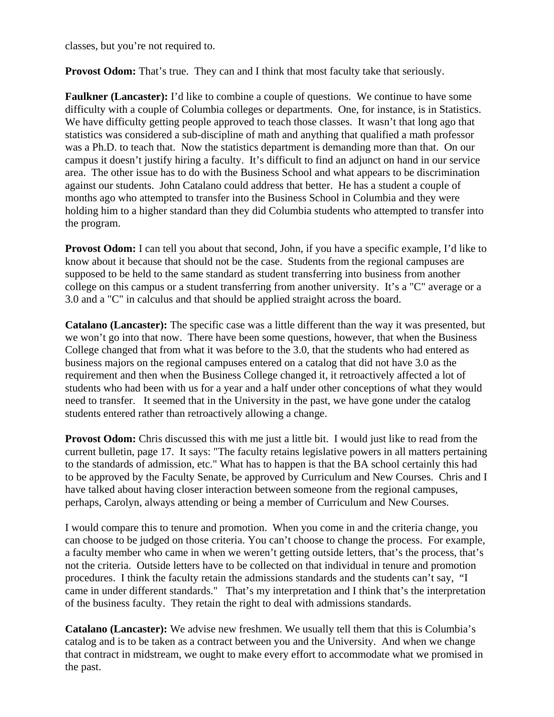classes, but you're not required to.

**Provost Odom:** That's true. They can and I think that most faculty take that seriously.

**Faulkner (Lancaster):** I'd like to combine a couple of questions. We continue to have some difficulty with a couple of Columbia colleges or departments. One, for instance, is in Statistics. We have difficulty getting people approved to teach those classes. It wasn't that long ago that statistics was considered a sub-discipline of math and anything that qualified a math professor was a Ph.D. to teach that. Now the statistics department is demanding more than that. On our campus it doesn't justify hiring a faculty. It's difficult to find an adjunct on hand in our service area. The other issue has to do with the Business School and what appears to be discrimination against our students. John Catalano could address that better. He has a student a couple of months ago who attempted to transfer into the Business School in Columbia and they were holding him to a higher standard than they did Columbia students who attempted to transfer into the program.

**Provost Odom:** I can tell you about that second, John, if you have a specific example, I'd like to know about it because that should not be the case. Students from the regional campuses are supposed to be held to the same standard as student transferring into business from another college on this campus or a student transferring from another university. It's a "C" average or a 3.0 and a "C" in calculus and that should be applied straight across the board.

**Catalano (Lancaster):** The specific case was a little different than the way it was presented, but we won't go into that now. There have been some questions, however, that when the Business College changed that from what it was before to the 3.0, that the students who had entered as business majors on the regional campuses entered on a catalog that did not have 3.0 as the requirement and then when the Business College changed it, it retroactively affected a lot of students who had been with us for a year and a half under other conceptions of what they would need to transfer. It seemed that in the University in the past, we have gone under the catalog students entered rather than retroactively allowing a change.

**Provost Odom:** Chris discussed this with me just a little bit. I would just like to read from the current bulletin, page 17. It says: "The faculty retains legislative powers in all matters pertaining to the standards of admission, etc." What has to happen is that the BA school certainly this had to be approved by the Faculty Senate, be approved by Curriculum and New Courses. Chris and I have talked about having closer interaction between someone from the regional campuses, perhaps, Carolyn, always attending or being a member of Curriculum and New Courses.

I would compare this to tenure and promotion. When you come in and the criteria change, you can choose to be judged on those criteria. You can't choose to change the process. For example, a faculty member who came in when we weren't getting outside letters, that's the process, that's not the criteria. Outside letters have to be collected on that individual in tenure and promotion procedures. I think the faculty retain the admissions standards and the students can't say, "I came in under different standards." That's my interpretation and I think that's the interpretation of the business faculty. They retain the right to deal with admissions standards.

**Catalano (Lancaster):** We advise new freshmen. We usually tell them that this is Columbia's catalog and is to be taken as a contract between you and the University. And when we change that contract in midstream, we ought to make every effort to accommodate what we promised in the past.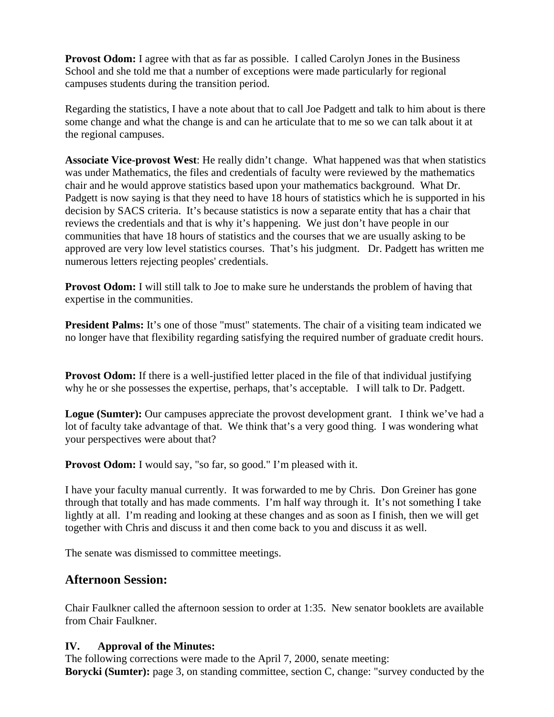**Provost Odom:** I agree with that as far as possible. I called Carolyn Jones in the Business School and she told me that a number of exceptions were made particularly for regional campuses students during the transition period.

Regarding the statistics, I have a note about that to call Joe Padgett and talk to him about is there some change and what the change is and can he articulate that to me so we can talk about it at the regional campuses.

**Associate Vice-provost West**: He really didn't change. What happened was that when statistics was under Mathematics, the files and credentials of faculty were reviewed by the mathematics chair and he would approve statistics based upon your mathematics background. What Dr. Padgett is now saying is that they need to have 18 hours of statistics which he is supported in his decision by SACS criteria. It's because statistics is now a separate entity that has a chair that reviews the credentials and that is why it's happening. We just don't have people in our communities that have 18 hours of statistics and the courses that we are usually asking to be approved are very low level statistics courses. That's his judgment. Dr. Padgett has written me numerous letters rejecting peoples' credentials.

**Provost Odom:** I will still talk to Joe to make sure he understands the problem of having that expertise in the communities.

**President Palms:** It's one of those "must" statements. The chair of a visiting team indicated we no longer have that flexibility regarding satisfying the required number of graduate credit hours.

**Provost Odom:** If there is a well-justified letter placed in the file of that individual justifying why he or she possesses the expertise, perhaps, that's acceptable. I will talk to Dr. Padgett.

**Logue (Sumter):** Our campuses appreciate the provost development grant. I think we've had a lot of faculty take advantage of that. We think that's a very good thing. I was wondering what your perspectives were about that?

**Provost Odom:** I would say, "so far, so good." I'm pleased with it.

I have your faculty manual currently. It was forwarded to me by Chris. Don Greiner has gone through that totally and has made comments. I'm half way through it. It's not something I take lightly at all. I'm reading and looking at these changes and as soon as I finish, then we will get together with Chris and discuss it and then come back to you and discuss it as well.

The senate was dismissed to committee meetings.

# **Afternoon Session:**

Chair Faulkner called the afternoon session to order at 1:35. New senator booklets are available from Chair Faulkner.

## **IV. Approval of the Minutes:**

The following corrections were made to the April 7, 2000, senate meeting: **Borycki (Sumter):** page 3, on standing committee, section C, change: "survey conducted by the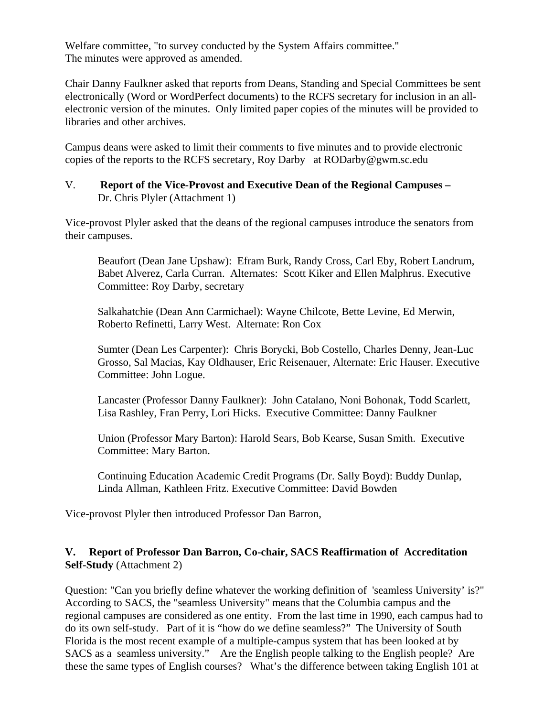Welfare committee, "to survey conducted by the System Affairs committee." The minutes were approved as amended.

Chair Danny Faulkner asked that reports from Deans, Standing and Special Committees be sent electronically (Word or WordPerfect documents) to the RCFS secretary for inclusion in an allelectronic version of the minutes. Only limited paper copies of the minutes will be provided to libraries and other archives.

Campus deans were asked to limit their comments to five minutes and to provide electronic copies of the reports to the RCFS secretary, Roy Darby at RODarby@gwm.sc.edu

#### V. **Report of the Vice-Provost and Executive Dean of the Regional Campuses –**  Dr. Chris Plyler (Attachment 1)

Vice-provost Plyler asked that the deans of the regional campuses introduce the senators from their campuses.

Beaufort (Dean Jane Upshaw): Efram Burk, Randy Cross, Carl Eby, Robert Landrum, Babet Alverez, Carla Curran. Alternates: Scott Kiker and Ellen Malphrus. Executive Committee: Roy Darby, secretary

Salkahatchie (Dean Ann Carmichael): Wayne Chilcote, Bette Levine, Ed Merwin, Roberto Refinetti, Larry West. Alternate: Ron Cox

Sumter (Dean Les Carpenter): Chris Borycki, Bob Costello, Charles Denny, Jean-Luc Grosso, Sal Macias, Kay Oldhauser, Eric Reisenauer, Alternate: Eric Hauser. Executive Committee: John Logue.

Lancaster (Professor Danny Faulkner): John Catalano, Noni Bohonak, Todd Scarlett, Lisa Rashley, Fran Perry, Lori Hicks. Executive Committee: Danny Faulkner

Union (Professor Mary Barton): Harold Sears, Bob Kearse, Susan Smith. Executive Committee: Mary Barton.

Continuing Education Academic Credit Programs (Dr. Sally Boyd): Buddy Dunlap, Linda Allman, Kathleen Fritz. Executive Committee: David Bowden

Vice-provost Plyler then introduced Professor Dan Barron,

## **V. Report of Professor Dan Barron, Co-chair, SACS Reaffirmation of Accreditation Self-Study** (Attachment 2)

Question: "Can you briefly define whatever the working definition of 'seamless University' is?" According to SACS, the "seamless University" means that the Columbia campus and the regional campuses are considered as one entity. From the last time in 1990, each campus had to do its own self-study. Part of it is "how do we define seamless?" The University of South Florida is the most recent example of a multiple-campus system that has been looked at by SACS as a seamless university." Are the English people talking to the English people? Are these the same types of English courses? What's the difference between taking English 101 at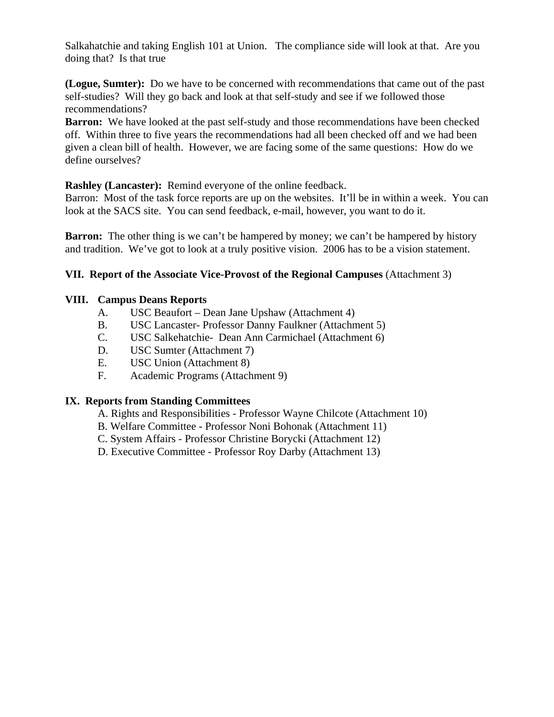Salkahatchie and taking English 101 at Union. The compliance side will look at that. Are you doing that? Is that true

**(Logue, Sumter):** Do we have to be concerned with recommendations that came out of the past self-studies? Will they go back and look at that self-study and see if we followed those recommendations?

**Barron:** We have looked at the past self-study and those recommendations have been checked off. Within three to five years the recommendations had all been checked off and we had been given a clean bill of health. However, we are facing some of the same questions: How do we define ourselves?

**Rashley (Lancaster):** Remind everyone of the online feedback.

Barron: Most of the task force reports are up on the websites. It'll be in within a week. You can look at the SACS site. You can send feedback, e-mail, however, you want to do it.

**Barron:** The other thing is we can't be hampered by money; we can't be hampered by history and tradition. We've got to look at a truly positive vision. 2006 has to be a vision statement.

## **VII. Report of the Associate Vice-Provost of the Regional Campuses** (Attachment 3)

#### **VIII. Campus Deans Reports**

- A. USC Beaufort Dean Jane Upshaw (Attachment 4)
- B. USC Lancaster- Professor Danny Faulkner (Attachment 5)
- C. USC Salkehatchie- Dean Ann Carmichael (Attachment 6)
- D. USC Sumter (Attachment 7)
- E. USC Union (Attachment 8)
- F. Academic Programs (Attachment 9)

#### **IX. Reports from Standing Committees**

- A. Rights and Responsibilities Professor Wayne Chilcote (Attachment 10)
- B. Welfare Committee Professor Noni Bohonak (Attachment 11)
- C. System Affairs Professor Christine Borycki (Attachment 12)
- D. Executive Committee Professor Roy Darby (Attachment 13)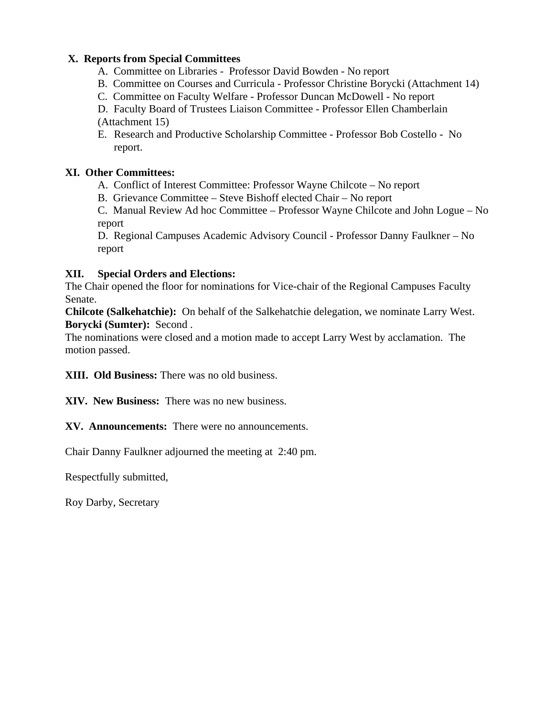## **X. Reports from Special Committees**

- A. Committee on Libraries Professor David Bowden No report
- B. Committee on Courses and Curricula Professor Christine Borycki (Attachment 14)
- C. Committee on Faculty Welfare Professor Duncan McDowell No report

D. Faculty Board of Trustees Liaison Committee - Professor Ellen Chamberlain (Attachment 15)

E. Research and Productive Scholarship Committee - Professor Bob Costello - No report.

# **XI. Other Committees:**

- A. Conflict of Interest Committee: Professor Wayne Chilcote No report
- B. Grievance Committee Steve Bishoff elected Chair No report

C. Manual Review Ad hoc Committee – Professor Wayne Chilcote and John Logue – No report

D. Regional Campuses Academic Advisory Council - Professor Danny Faulkner – No report

# **XII. Special Orders and Elections:**

The Chair opened the floor for nominations for Vice-chair of the Regional Campuses Faculty Senate.

**Chilcote (Salkehatchie):** On behalf of the Salkehatchie delegation, we nominate Larry West. **Borycki (Sumter):** Second .

The nominations were closed and a motion made to accept Larry West by acclamation. The motion passed.

**XIII. Old Business:** There was no old business.

**XIV. New Business:** There was no new business.

**XV. Announcements:** There were no announcements.

Chair Danny Faulkner adjourned the meeting at 2:40 pm.

Respectfully submitted,

Roy Darby, Secretary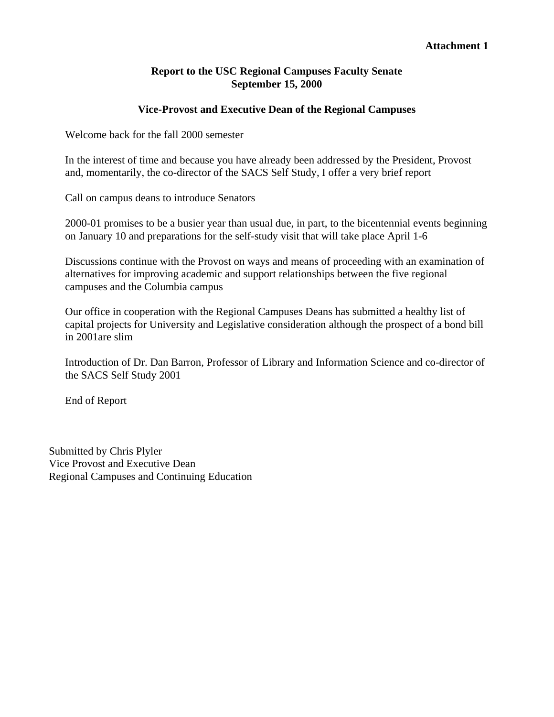#### **Attachment 1**

#### **Report to the USC Regional Campuses Faculty Senate September 15, 2000**

#### **Vice-Provost and Executive Dean of the Regional Campuses**

Welcome back for the fall 2000 semester

In the interest of time and because you have already been addressed by the President, Provost and, momentarily, the co-director of the SACS Self Study, I offer a very brief report

Call on campus deans to introduce Senators

2000-01 promises to be a busier year than usual due, in part, to the bicentennial events beginning on January 10 and preparations for the self-study visit that will take place April 1-6

Discussions continue with the Provost on ways and means of proceeding with an examination of alternatives for improving academic and support relationships between the five regional campuses and the Columbia campus

Our office in cooperation with the Regional Campuses Deans has submitted a healthy list of capital projects for University and Legislative consideration although the prospect of a bond bill in 2001are slim

Introduction of Dr. Dan Barron, Professor of Library and Information Science and co-director of the SACS Self Study 2001

End of Report

Submitted by Chris Plyler Vice Provost and Executive Dean Regional Campuses and Continuing Education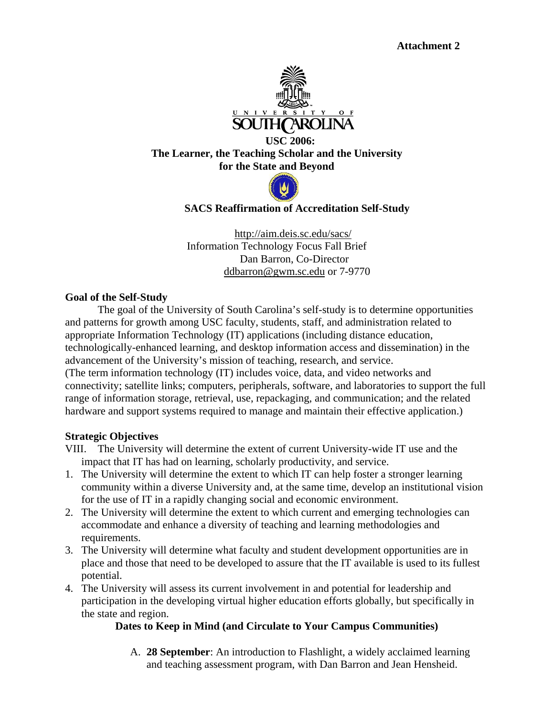

 **USC 2006: The Learner, the Teaching Scholar and the University for the State and Beyond** 



 **SACS Reaffirmation of Accreditation Self-Study** 

http://aim.deis.sc.edu/sacs/ Information Technology Focus Fall Brief Dan Barron, Co-Director ddbarron@gwm.sc.edu or 7-9770

#### **Goal of the Self-Study**

The goal of the University of South Carolina's self-study is to determine opportunities and patterns for growth among USC faculty, students, staff, and administration related to appropriate Information Technology (IT) applications (including distance education, technologically-enhanced learning, and desktop information access and dissemination) in the advancement of the University's mission of teaching, research, and service. (The term information technology (IT) includes voice, data, and video networks and connectivity; satellite links; computers, peripherals, software, and laboratories to support the full range of information storage, retrieval, use, repackaging, and communication; and the related hardware and support systems required to manage and maintain their effective application.)

#### **Strategic Objectives**

VIII. The University will determine the extent of current University-wide IT use and the impact that IT has had on learning, scholarly productivity, and service.

- 1. The University will determine the extent to which IT can help foster a stronger learning community within a diverse University and, at the same time, develop an institutional vision for the use of IT in a rapidly changing social and economic environment.
- 2. The University will determine the extent to which current and emerging technologies can accommodate and enhance a diversity of teaching and learning methodologies and requirements.
- 3. The University will determine what faculty and student development opportunities are in place and those that need to be developed to assure that the IT available is used to its fullest potential.
- 4. The University will assess its current involvement in and potential for leadership and participation in the developing virtual higher education efforts globally, but specifically in the state and region.

#### **Dates to Keep in Mind (and Circulate to Your Campus Communities)**

A. **28 September**: An introduction to Flashlight, a widely acclaimed learning and teaching assessment program, with Dan Barron and Jean Hensheid.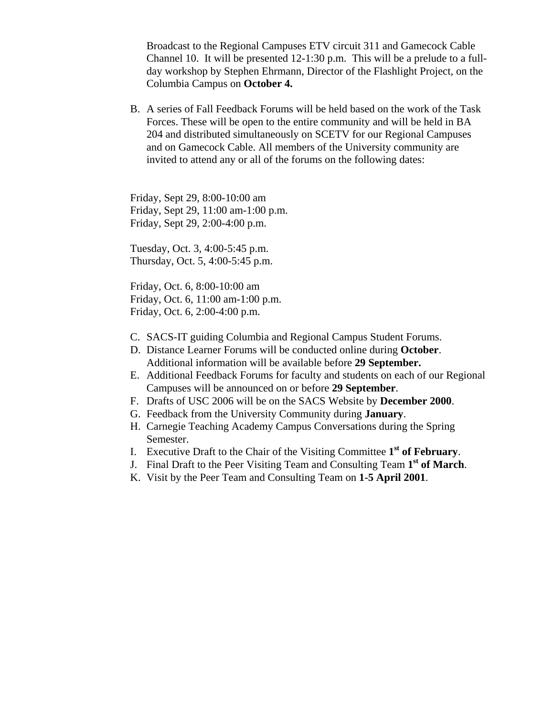Broadcast to the Regional Campuses ETV circuit 311 and Gamecock Cable Channel 10. It will be presented 12-1:30 p.m. This will be a prelude to a fullday workshop by Stephen Ehrmann, Director of the Flashlight Project, on the Columbia Campus on **October 4.**

B. A series of Fall Feedback Forums will be held based on the work of the Task Forces. These will be open to the entire community and will be held in BA 204 and distributed simultaneously on SCETV for our Regional Campuses and on Gamecock Cable. All members of the University community are invited to attend any or all of the forums on the following dates:

Friday, Sept 29, 8:00-10:00 am Friday, Sept 29, 11:00 am-1:00 p.m. Friday, Sept 29, 2:00-4:00 p.m.

Tuesday, Oct. 3, 4:00-5:45 p.m. Thursday, Oct. 5, 4:00-5:45 p.m.

Friday, Oct. 6, 8:00-10:00 am Friday, Oct. 6, 11:00 am-1:00 p.m. Friday, Oct. 6, 2:00-4:00 p.m.

- C. SACS-IT guiding Columbia and Regional Campus Student Forums.
- D. Distance Learner Forums will be conducted online during **October**. Additional information will be available before **29 September.**
- E. Additional Feedback Forums for faculty and students on each of our Regional Campuses will be announced on or before **29 September**.
- F. Drafts of USC 2006 will be on the SACS Website by **December 2000**.
- G. Feedback from the University Community during **January**.
- H. Carnegie Teaching Academy Campus Conversations during the Spring Semester.
- I. Executive Draft to the Chair of the Visiting Committee **1st of February**.
- J. Final Draft to the Peer Visiting Team and Consulting Team **1st of March**.
- K. Visit by the Peer Team and Consulting Team on **1-5 April 2001**.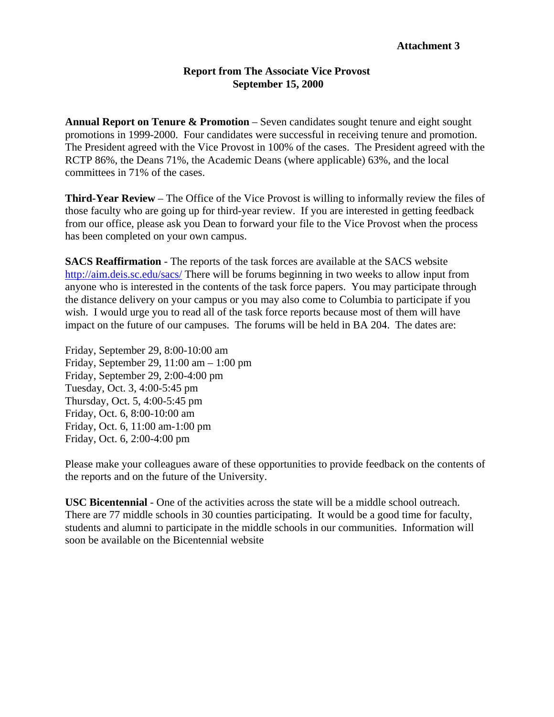#### **Report from The Associate Vice Provost September 15, 2000**

**Annual Report on Tenure & Promotion** – Seven candidates sought tenure and eight sought promotions in 1999-2000. Four candidates were successful in receiving tenure and promotion. The President agreed with the Vice Provost in 100% of the cases. The President agreed with the RCTP 86%, the Deans 71%, the Academic Deans (where applicable) 63%, and the local committees in 71% of the cases.

**Third-Year Review** – The Office of the Vice Provost is willing to informally review the files of those faculty who are going up for third-year review. If you are interested in getting feedback from our office, please ask you Dean to forward your file to the Vice Provost when the process has been completed on your own campus.

**SACS Reaffirmation** - The reports of the task forces are available at the SACS website <http://aim.deis.sc.edu/sacs/> There will be forums beginning in two weeks to allow input from anyone who is interested in the contents of the task force papers. You may participate through the distance delivery on your campus or you may also come to Columbia to participate if you wish. I would urge you to read all of the task force reports because most of them will have impact on the future of our campuses. The forums will be held in BA 204. The dates are:

Friday, September 29, 8:00-10:00 am Friday, September 29, 11:00 am – 1:00 pm Friday, September 29, 2:00-4:00 pm Tuesday, Oct. 3, 4:00-5:45 pm Thursday, Oct. 5, 4:00-5:45 pm Friday, Oct. 6, 8:00-10:00 am Friday, Oct. 6, 11:00 am-1:00 pm Friday, Oct. 6, 2:00-4:00 pm

Please make your colleagues aware of these opportunities to provide feedback on the contents of the reports and on the future of the University.

**USC Bicentennial** - One of the activities across the state will be a middle school outreach. There are 77 middle schools in 30 counties participating. It would be a good time for faculty, students and alumni to participate in the middle schools in our communities. Information will soon be available on the Bicentennial website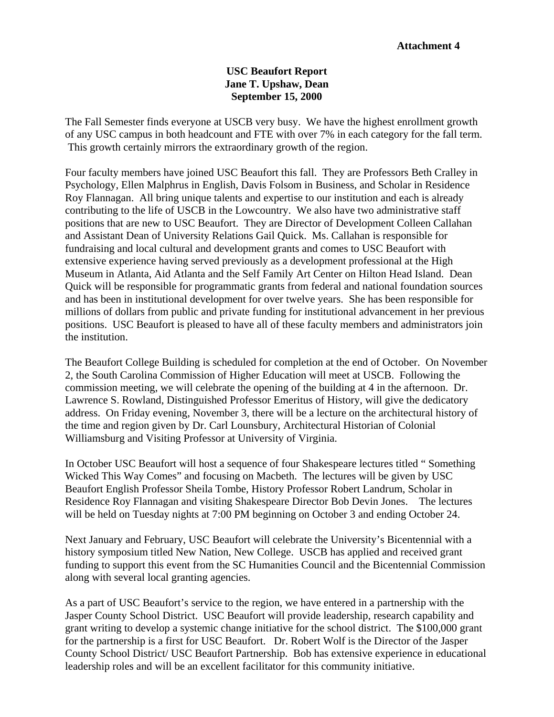#### **USC Beaufort Report Jane T. Upshaw, Dean September 15, 2000**

The Fall Semester finds everyone at USCB very busy. We have the highest enrollment growth of any USC campus in both headcount and FTE with over 7% in each category for the fall term. This growth certainly mirrors the extraordinary growth of the region.

Four faculty members have joined USC Beaufort this fall. They are Professors Beth Cralley in Psychology, Ellen Malphrus in English, Davis Folsom in Business, and Scholar in Residence Roy Flannagan. All bring unique talents and expertise to our institution and each is already contributing to the life of USCB in the Lowcountry. We also have two administrative staff positions that are new to USC Beaufort. They are Director of Development Colleen Callahan and Assistant Dean of University Relations Gail Quick. Ms. Callahan is responsible for fundraising and local cultural and development grants and comes to USC Beaufort with extensive experience having served previously as a development professional at the High Museum in Atlanta, Aid Atlanta and the Self Family Art Center on Hilton Head Island. Dean Quick will be responsible for programmatic grants from federal and national foundation sources and has been in institutional development for over twelve years. She has been responsible for millions of dollars from public and private funding for institutional advancement in her previous positions. USC Beaufort is pleased to have all of these faculty members and administrators join the institution.

The Beaufort College Building is scheduled for completion at the end of October. On November 2, the South Carolina Commission of Higher Education will meet at USCB. Following the commission meeting, we will celebrate the opening of the building at 4 in the afternoon. Dr. Lawrence S. Rowland, Distinguished Professor Emeritus of History, will give the dedicatory address. On Friday evening, November 3, there will be a lecture on the architectural history of the time and region given by Dr. Carl Lounsbury, Architectural Historian of Colonial Williamsburg and Visiting Professor at University of Virginia.

In October USC Beaufort will host a sequence of four Shakespeare lectures titled " Something Wicked This Way Comes" and focusing on Macbeth. The lectures will be given by USC Beaufort English Professor Sheila Tombe, History Professor Robert Landrum, Scholar in Residence Roy Flannagan and visiting Shakespeare Director Bob Devin Jones. The lectures will be held on Tuesday nights at 7:00 PM beginning on October 3 and ending October 24.

Next January and February, USC Beaufort will celebrate the University's Bicentennial with a history symposium titled New Nation, New College. USCB has applied and received grant funding to support this event from the SC Humanities Council and the Bicentennial Commission along with several local granting agencies.

As a part of USC Beaufort's service to the region, we have entered in a partnership with the Jasper County School District. USC Beaufort will provide leadership, research capability and grant writing to develop a systemic change initiative for the school district. The \$100,000 grant for the partnership is a first for USC Beaufort. Dr. Robert Wolf is the Director of the Jasper County School District/ USC Beaufort Partnership. Bob has extensive experience in educational leadership roles and will be an excellent facilitator for this community initiative.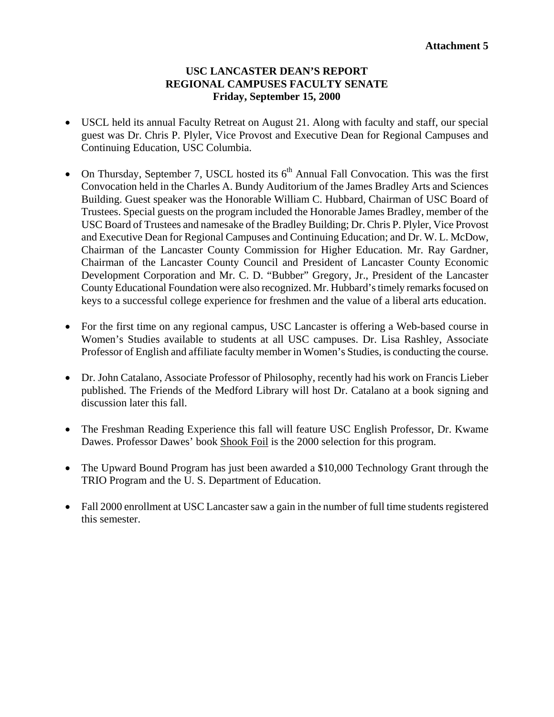#### **USC LANCASTER DEAN'S REPORT REGIONAL CAMPUSES FACULTY SENATE Friday, September 15, 2000**

- USCL held its annual Faculty Retreat on August 21. Along with faculty and staff, our special guest was Dr. Chris P. Plyler, Vice Provost and Executive Dean for Regional Campuses and Continuing Education, USC Columbia.
- On Thursday, September 7, USCL hosted its  $6<sup>th</sup>$  Annual Fall Convocation. This was the first Convocation held in the Charles A. Bundy Auditorium of the James Bradley Arts and Sciences Building. Guest speaker was the Honorable William C. Hubbard, Chairman of USC Board of Trustees. Special guests on the program included the Honorable James Bradley, member of the USC Board of Trustees and namesake of the Bradley Building; Dr. Chris P. Plyler, Vice Provost and Executive Dean for Regional Campuses and Continuing Education; and Dr. W. L. McDow, Chairman of the Lancaster County Commission for Higher Education. Mr. Ray Gardner, Chairman of the Lancaster County Council and President of Lancaster County Economic Development Corporation and Mr. C. D. "Bubber" Gregory, Jr., President of the Lancaster County Educational Foundation were also recognized. Mr. Hubbard's timely remarks focused on keys to a successful college experience for freshmen and the value of a liberal arts education.
- For the first time on any regional campus, USC Lancaster is offering a Web-based course in Women's Studies available to students at all USC campuses. Dr. Lisa Rashley, Associate Professor of English and affiliate faculty member in Women's Studies, is conducting the course.
- Dr. John Catalano, Associate Professor of Philosophy, recently had his work on Francis Lieber published. The Friends of the Medford Library will host Dr. Catalano at a book signing and discussion later this fall.
- The Freshman Reading Experience this fall will feature USC English Professor, Dr. Kwame Dawes. Professor Dawes' book Shook Foil is the 2000 selection for this program.
- The Upward Bound Program has just been awarded a \$10,000 Technology Grant through the TRIO Program and the U. S. Department of Education.
- Fall 2000 enrollment at USC Lancaster saw a gain in the number of full time students registered this semester.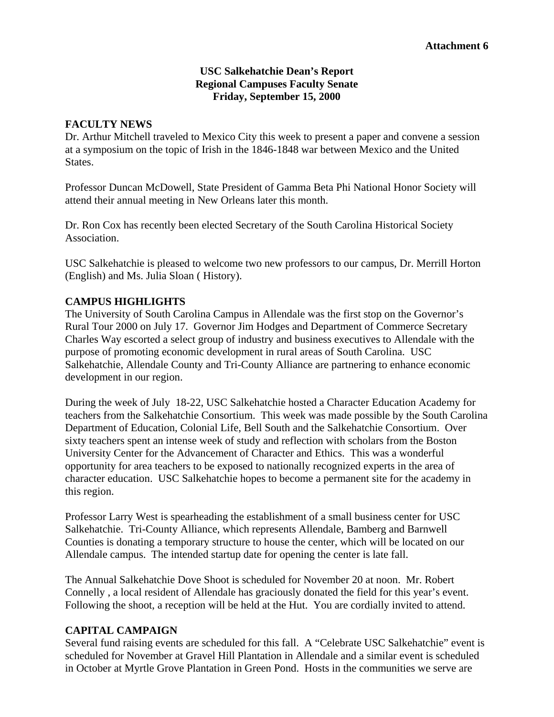### **USC Salkehatchie Dean's Report Regional Campuses Faculty Senate Friday, September 15, 2000**

#### **FACULTY NEWS**

Dr. Arthur Mitchell traveled to Mexico City this week to present a paper and convene a session at a symposium on the topic of Irish in the 1846-1848 war between Mexico and the United States.

Professor Duncan McDowell, State President of Gamma Beta Phi National Honor Society will attend their annual meeting in New Orleans later this month.

Dr. Ron Cox has recently been elected Secretary of the South Carolina Historical Society Association.

USC Salkehatchie is pleased to welcome two new professors to our campus, Dr. Merrill Horton (English) and Ms. Julia Sloan ( History).

## **CAMPUS HIGHLIGHTS**

The University of South Carolina Campus in Allendale was the first stop on the Governor's Rural Tour 2000 on July 17. Governor Jim Hodges and Department of Commerce Secretary Charles Way escorted a select group of industry and business executives to Allendale with the purpose of promoting economic development in rural areas of South Carolina. USC Salkehatchie, Allendale County and Tri-County Alliance are partnering to enhance economic development in our region.

During the week of July 18-22, USC Salkehatchie hosted a Character Education Academy for teachers from the Salkehatchie Consortium. This week was made possible by the South Carolina Department of Education, Colonial Life, Bell South and the Salkehatchie Consortium. Over sixty teachers spent an intense week of study and reflection with scholars from the Boston University Center for the Advancement of Character and Ethics. This was a wonderful opportunity for area teachers to be exposed to nationally recognized experts in the area of character education. USC Salkehatchie hopes to become a permanent site for the academy in this region.

Professor Larry West is spearheading the establishment of a small business center for USC Salkehatchie. Tri-County Alliance, which represents Allendale, Bamberg and Barnwell Counties is donating a temporary structure to house the center, which will be located on our Allendale campus. The intended startup date for opening the center is late fall.

The Annual Salkehatchie Dove Shoot is scheduled for November 20 at noon. Mr. Robert Connelly , a local resident of Allendale has graciously donated the field for this year's event. Following the shoot, a reception will be held at the Hut. You are cordially invited to attend.

## **CAPITAL CAMPAIGN**

Several fund raising events are scheduled for this fall. A "Celebrate USC Salkehatchie" event is scheduled for November at Gravel Hill Plantation in Allendale and a similar event is scheduled in October at Myrtle Grove Plantation in Green Pond. Hosts in the communities we serve are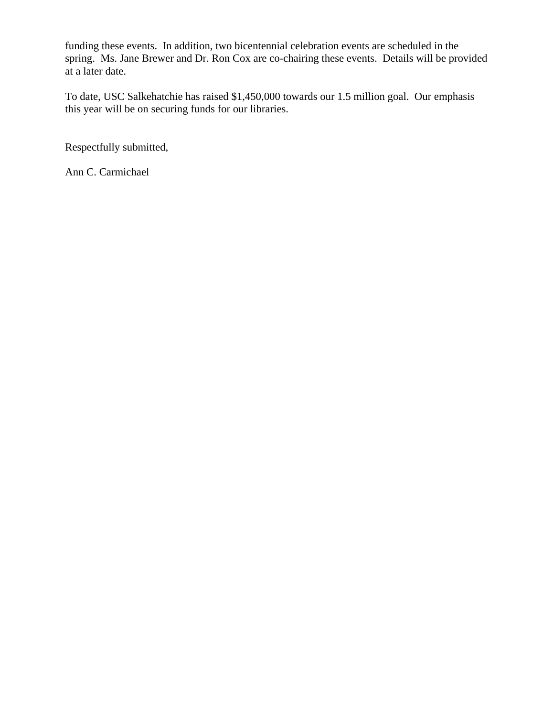funding these events. In addition, two bicentennial celebration events are scheduled in the spring. Ms. Jane Brewer and Dr. Ron Cox are co-chairing these events. Details will be provided at a later date.

To date, USC Salkehatchie has raised \$1,450,000 towards our 1.5 million goal. Our emphasis this year will be on securing funds for our libraries.

Respectfully submitted,

Ann C. Carmichael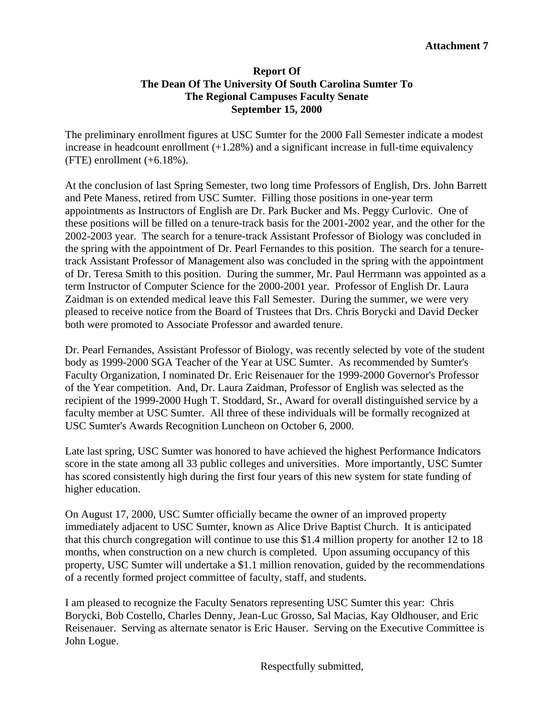### **Report Of The Dean Of The University Of South Carolina Sumter To The Regional Campuses Faculty Senate September 15, 2000**

The preliminary enrollment figures at USC Sumter for the 2000 Fall Semester indicate a modest increase in headcount enrollment  $(+1.28\%)$  and a significant increase in full-time equivalency  $(FTE)$  enrollment  $(+6.18\%)$ .

At the conclusion of last Spring Semester, two long time Professors of English, Drs. John Barrett and Pete Maness, retired from USC Sumter. Filling those positions in one-year term appointments as Instructors of English are Dr. Park Bucker and Ms. Peggy Curlovic. One of these positions will be filled on a tenure-track basis for the 2001-2002 year, and the other for the 2002-2003 year. The search for a tenure-track Assistant Professor of Biology was concluded in the spring with the appointment of Dr. Pearl Fernandes to this position. The search for a tenuretrack Assistant Professor of Management also was concluded in the spring with the appointment of Dr. Teresa Smith to this position. During the summer, Mr. Paul Herrmann was appointed as a term Instructor of Computer Science for the 2000-2001 year. Professor of English Dr. Laura Zaidman is on extended medical leave this Fall Semester. During the summer, we were very pleased to receive notice from the Board of Trustees that Drs. Chris Borycki and David Decker both were promoted to Associate Professor and awarded tenure.

Dr. Pearl Fernandes, Assistant Professor of Biology, was recently selected by vote of the student body as 1999-2000 SGA Teacher of the Year at USC Sumter. As recommended by Sumter's Faculty Organization, I nominated Dr. Eric Reisenauer for the 1999-2000 Governor's Professor of the Year competition. And, Dr. Laura Zaidman, Professor of English was selected as the recipient of the 1999-2000 Hugh T. Stoddard, Sr., Award for overall distinguished service by a faculty member at USC Sumter. All three of these individuals will be formally recognized at USC Sumter's Awards Recognition Luncheon on October 6, 2000.

Late last spring, USC Sumter was honored to have achieved the highest Performance Indicators score in the state among all 33 public colleges and universities. More importantly, USC Sumter has scored consistently high during the first four years of this new system for state funding of higher education.

On August 17, 2000, USC Sumter officially became the owner of an improved property immediately adjacent to USC Sumter, known as Alice Drive Baptist Church. It is anticipated that this church congregation will continue to use this \$1.4 million property for another 12 to 18 months, when construction on a new church is completed. Upon assuming occupancy of this property, USC Sumter will undertake a \$1.1 million renovation, guided by the recommendations of a recently formed project committee of faculty, staff, and students.

I am pleased to recognize the Faculty Senators representing USC Sumter this year: Chris Borycki, Bob Costello, Charles Denny, Jean-Luc Grosso, Sal Macias, Kay Oldhouser, and Eric Reisenauer. Serving as alternate senator is Eric Hauser. Serving on the Executive Committee is John Logue.

Respectfully submitted,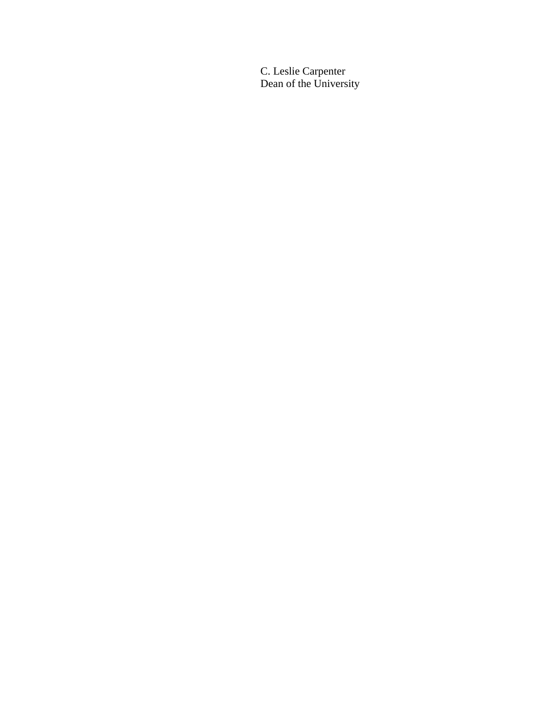C. Leslie Carpenter Dean of the University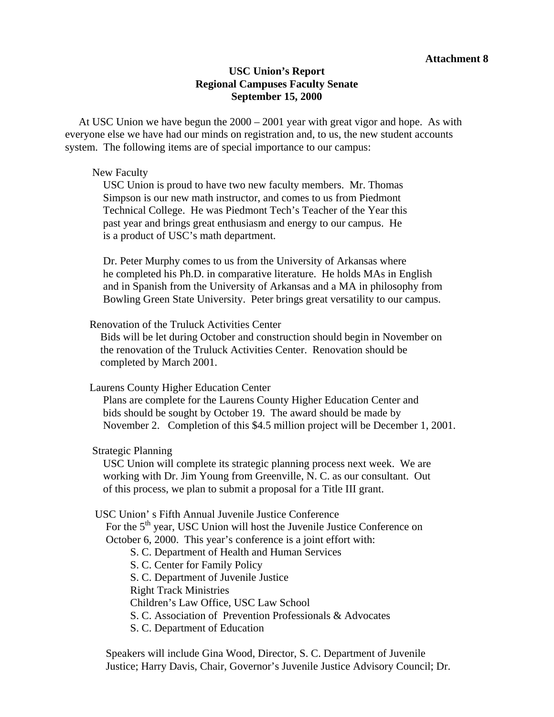#### **Attachment 8**

#### **USC Union's Report Regional Campuses Faculty Senate September 15, 2000**

 At USC Union we have begun the 2000 – 2001 year with great vigor and hope. As with everyone else we have had our minds on registration and, to us, the new student accounts system. The following items are of special importance to our campus:

#### New Faculty

 USC Union is proud to have two new faculty members. Mr. Thomas Simpson is our new math instructor, and comes to us from Piedmont Technical College. He was Piedmont Tech's Teacher of the Year this past year and brings great enthusiasm and energy to our campus. He is a product of USC's math department.

 Dr. Peter Murphy comes to us from the University of Arkansas where he completed his Ph.D. in comparative literature. He holds MAs in English and in Spanish from the University of Arkansas and a MA in philosophy from Bowling Green State University. Peter brings great versatility to our campus.

#### Renovation of the Truluck Activities Center

 Bids will be let during October and construction should begin in November on the renovation of the Truluck Activities Center. Renovation should be completed by March 2001.

Laurens County Higher Education Center

 Plans are complete for the Laurens County Higher Education Center and bids should be sought by October 19. The award should be made by November 2. Completion of this \$4.5 million project will be December 1, 2001.

#### Strategic Planning

 USC Union will complete its strategic planning process next week. We are working with Dr. Jim Young from Greenville, N. C. as our consultant. Out of this process, we plan to submit a proposal for a Title III grant.

USC Union' s Fifth Annual Juvenile Justice Conference

For the 5<sup>th</sup> year, USC Union will host the Juvenile Justice Conference on October 6, 2000. This year's conference is a joint effort with:

S. C. Department of Health and Human Services

S. C. Center for Family Policy

S. C. Department of Juvenile Justice

Right Track Ministries

Children's Law Office, USC Law School

S. C. Association of Prevention Professionals & Advocates

S. C. Department of Education

 Speakers will include Gina Wood, Director, S. C. Department of Juvenile Justice; Harry Davis, Chair, Governor's Juvenile Justice Advisory Council; Dr.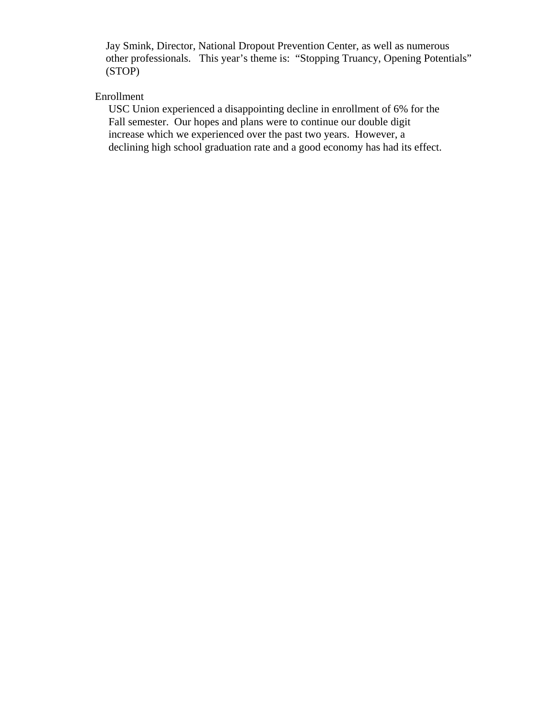Jay Smink, Director, National Dropout Prevention Center, as well as numerous other professionals. This year's theme is: "Stopping Truancy, Opening Potentials" (STOP)

# Enrollment

 USC Union experienced a disappointing decline in enrollment of 6% for the Fall semester. Our hopes and plans were to continue our double digit increase which we experienced over the past two years. However, a declining high school graduation rate and a good economy has had its effect.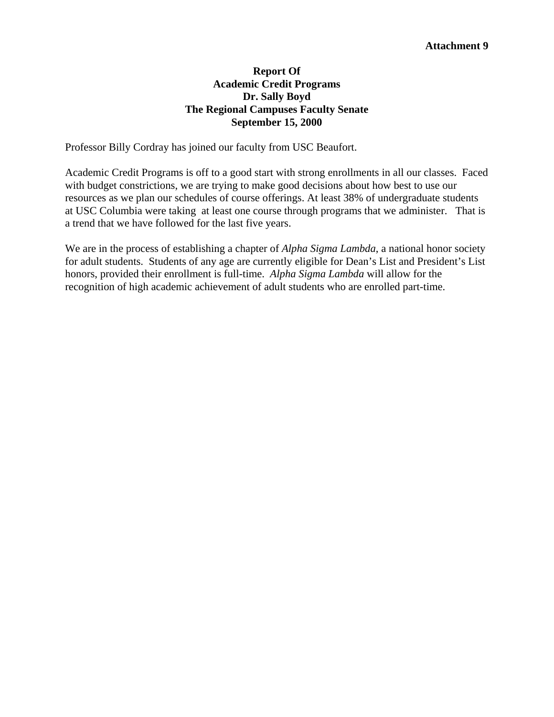### **Report Of Academic Credit Programs Dr. Sally Boyd The Regional Campuses Faculty Senate September 15, 2000**

Professor Billy Cordray has joined our faculty from USC Beaufort.

Academic Credit Programs is off to a good start with strong enrollments in all our classes. Faced with budget constrictions, we are trying to make good decisions about how best to use our resources as we plan our schedules of course offerings. At least 38% of undergraduate students at USC Columbia were taking at least one course through programs that we administer. That is a trend that we have followed for the last five years.

We are in the process of establishing a chapter of *Alpha Sigma Lambda*, a national honor society for adult students. Students of any age are currently eligible for Dean's List and President's List honors, provided their enrollment is full-time. *Alpha Sigma Lambda* will allow for the recognition of high academic achievement of adult students who are enrolled part-time.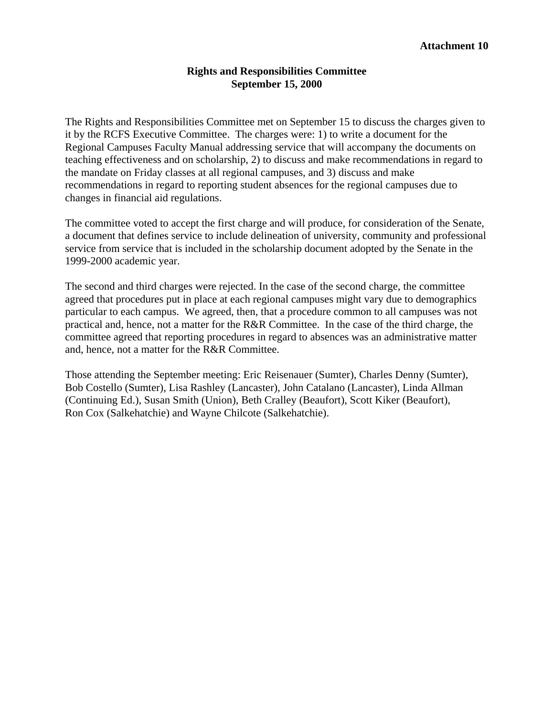#### **Rights and Responsibilities Committee September 15, 2000**

The Rights and Responsibilities Committee met on September 15 to discuss the charges given to it by the RCFS Executive Committee. The charges were: 1) to write a document for the Regional Campuses Faculty Manual addressing service that will accompany the documents on teaching effectiveness and on scholarship, 2) to discuss and make recommendations in regard to the mandate on Friday classes at all regional campuses, and 3) discuss and make recommendations in regard to reporting student absences for the regional campuses due to changes in financial aid regulations.

The committee voted to accept the first charge and will produce, for consideration of the Senate, a document that defines service to include delineation of university, community and professional service from service that is included in the scholarship document adopted by the Senate in the 1999-2000 academic year.

The second and third charges were rejected. In the case of the second charge, the committee agreed that procedures put in place at each regional campuses might vary due to demographics particular to each campus. We agreed, then, that a procedure common to all campuses was not practical and, hence, not a matter for the R&R Committee. In the case of the third charge, the committee agreed that reporting procedures in regard to absences was an administrative matter and, hence, not a matter for the R&R Committee.

Those attending the September meeting: Eric Reisenauer (Sumter), Charles Denny (Sumter), Bob Costello (Sumter), Lisa Rashley (Lancaster), John Catalano (Lancaster), Linda Allman (Continuing Ed.), Susan Smith (Union), Beth Cralley (Beaufort), Scott Kiker (Beaufort), Ron Cox (Salkehatchie) and Wayne Chilcote (Salkehatchie).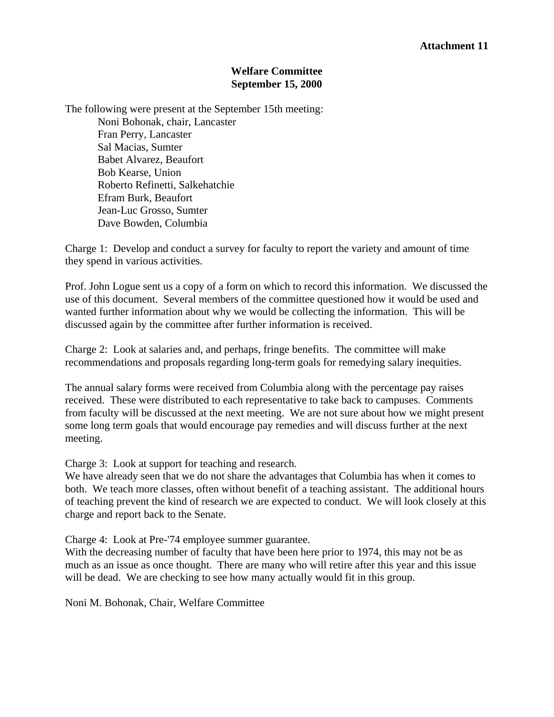#### **Welfare Committee September 15, 2000**

The following were present at the September 15th meeting: Noni Bohonak, chair, Lancaster Fran Perry, Lancaster Sal Macias, Sumter Babet Alvarez, Beaufort Bob Kearse, Union Roberto Refinetti, Salkehatchie Efram Burk, Beaufort Jean-Luc Grosso, Sumter Dave Bowden, Columbia

Charge 1: Develop and conduct a survey for faculty to report the variety and amount of time they spend in various activities.

Prof. John Logue sent us a copy of a form on which to record this information. We discussed the use of this document. Several members of the committee questioned how it would be used and wanted further information about why we would be collecting the information. This will be discussed again by the committee after further information is received.

Charge 2: Look at salaries and, and perhaps, fringe benefits. The committee will make recommendations and proposals regarding long-term goals for remedying salary inequities.

The annual salary forms were received from Columbia along with the percentage pay raises received. These were distributed to each representative to take back to campuses. Comments from faculty will be discussed at the next meeting. We are not sure about how we might present some long term goals that would encourage pay remedies and will discuss further at the next meeting.

Charge 3: Look at support for teaching and research.

We have already seen that we do not share the advantages that Columbia has when it comes to both. We teach more classes, often without benefit of a teaching assistant. The additional hours of teaching prevent the kind of research we are expected to conduct. We will look closely at this charge and report back to the Senate.

Charge 4: Look at Pre-'74 employee summer guarantee.

With the decreasing number of faculty that have been here prior to 1974, this may not be as much as an issue as once thought. There are many who will retire after this year and this issue will be dead. We are checking to see how many actually would fit in this group.

Noni M. Bohonak, Chair, Welfare Committee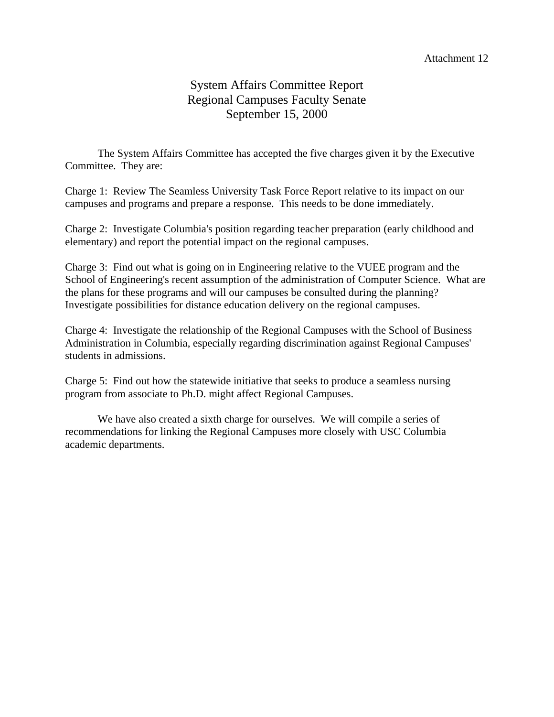#### Attachment 12

# System Affairs Committee Report Regional Campuses Faculty Senate September 15, 2000

The System Affairs Committee has accepted the five charges given it by the Executive Committee. They are:

Charge 1: Review The Seamless University Task Force Report relative to its impact on our campuses and programs and prepare a response. This needs to be done immediately.

Charge 2: Investigate Columbia's position regarding teacher preparation (early childhood and elementary) and report the potential impact on the regional campuses.

Charge 3: Find out what is going on in Engineering relative to the VUEE program and the School of Engineering's recent assumption of the administration of Computer Science. What are the plans for these programs and will our campuses be consulted during the planning? Investigate possibilities for distance education delivery on the regional campuses.

Charge 4: Investigate the relationship of the Regional Campuses with the School of Business Administration in Columbia, especially regarding discrimination against Regional Campuses' students in admissions.

Charge 5: Find out how the statewide initiative that seeks to produce a seamless nursing program from associate to Ph.D. might affect Regional Campuses.

We have also created a sixth charge for ourselves. We will compile a series of recommendations for linking the Regional Campuses more closely with USC Columbia academic departments.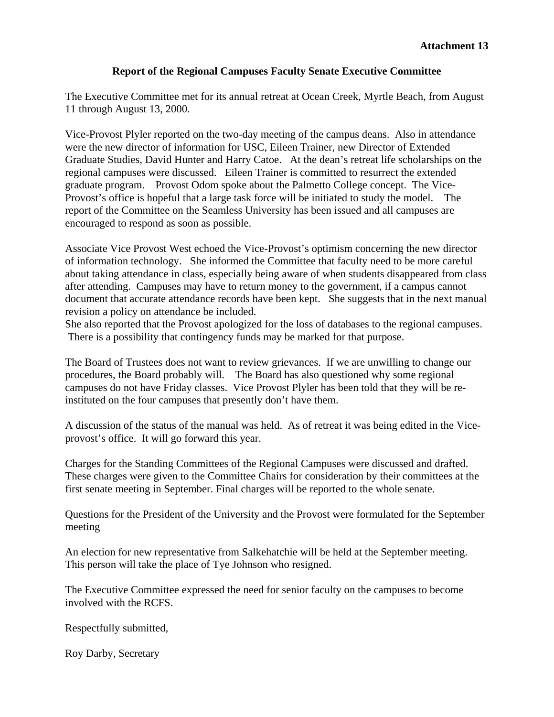#### **Report of the Regional Campuses Faculty Senate Executive Committee**

The Executive Committee met for its annual retreat at Ocean Creek, Myrtle Beach, from August 11 through August 13, 2000.

Vice-Provost Plyler reported on the two-day meeting of the campus deans. Also in attendance were the new director of information for USC, Eileen Trainer, new Director of Extended Graduate Studies, David Hunter and Harry Catoe. At the dean's retreat life scholarships on the regional campuses were discussed. Eileen Trainer is committed to resurrect the extended graduate program. Provost Odom spoke about the Palmetto College concept. The Vice-Provost's office is hopeful that a large task force will be initiated to study the model. The report of the Committee on the Seamless University has been issued and all campuses are encouraged to respond as soon as possible.

Associate Vice Provost West echoed the Vice-Provost's optimism concerning the new director of information technology. She informed the Committee that faculty need to be more careful about taking attendance in class, especially being aware of when students disappeared from class after attending. Campuses may have to return money to the government, if a campus cannot document that accurate attendance records have been kept. She suggests that in the next manual revision a policy on attendance be included.

She also reported that the Provost apologized for the loss of databases to the regional campuses. There is a possibility that contingency funds may be marked for that purpose.

The Board of Trustees does not want to review grievances. If we are unwilling to change our procedures, the Board probably will. The Board has also questioned why some regional campuses do not have Friday classes. Vice Provost Plyler has been told that they will be reinstituted on the four campuses that presently don't have them.

A discussion of the status of the manual was held. As of retreat it was being edited in the Viceprovost's office. It will go forward this year.

Charges for the Standing Committees of the Regional Campuses were discussed and drafted. These charges were given to the Committee Chairs for consideration by their committees at the first senate meeting in September. Final charges will be reported to the whole senate.

Questions for the President of the University and the Provost were formulated for the September meeting

An election for new representative from Salkehatchie will be held at the September meeting. This person will take the place of Tye Johnson who resigned.

The Executive Committee expressed the need for senior faculty on the campuses to become involved with the RCFS.

Respectfully submitted,

Roy Darby, Secretary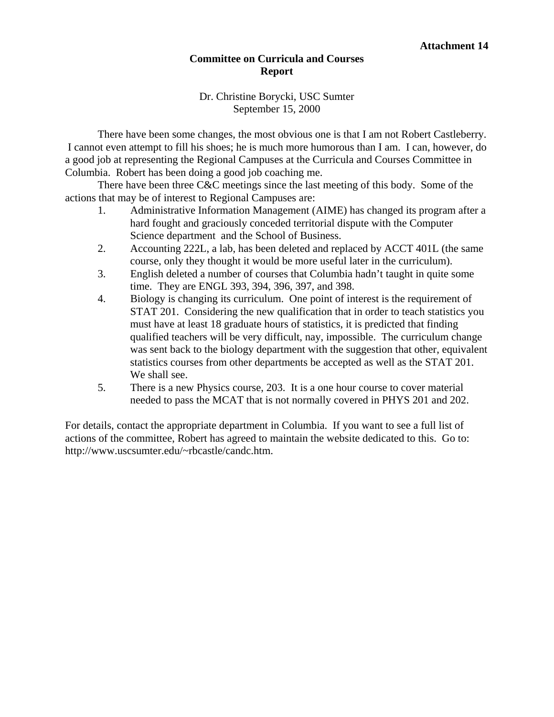#### **Committee on Curricula and Courses Report**

#### Dr. Christine Borycki, USC Sumter September 15, 2000

There have been some changes, the most obvious one is that I am not Robert Castleberry. I cannot even attempt to fill his shoes; he is much more humorous than I am. I can, however, do a good job at representing the Regional Campuses at the Curricula and Courses Committee in Columbia. Robert has been doing a good job coaching me.

 There have been three C&C meetings since the last meeting of this body. Some of the actions that may be of interest to Regional Campuses are:

- 1. Administrative Information Management (AIME) has changed its program after a hard fought and graciously conceded territorial dispute with the Computer Science department and the School of Business.
- 2. Accounting 222L, a lab, has been deleted and replaced by ACCT 401L (the same course, only they thought it would be more useful later in the curriculum).
- 3. English deleted a number of courses that Columbia hadn't taught in quite some time. They are ENGL 393, 394, 396, 397, and 398.
- 4. Biology is changing its curriculum. One point of interest is the requirement of STAT 201. Considering the new qualification that in order to teach statistics you must have at least 18 graduate hours of statistics, it is predicted that finding qualified teachers will be very difficult, nay, impossible. The curriculum change was sent back to the biology department with the suggestion that other, equivalent statistics courses from other departments be accepted as well as the STAT 201. We shall see.
- 5. There is a new Physics course, 203. It is a one hour course to cover material needed to pass the MCAT that is not normally covered in PHYS 201 and 202.

For details, contact the appropriate department in Columbia. If you want to see a full list of actions of the committee, Robert has agreed to maintain the website dedicated to this. Go to: http://www.uscsumter.edu/~rbcastle/candc.htm.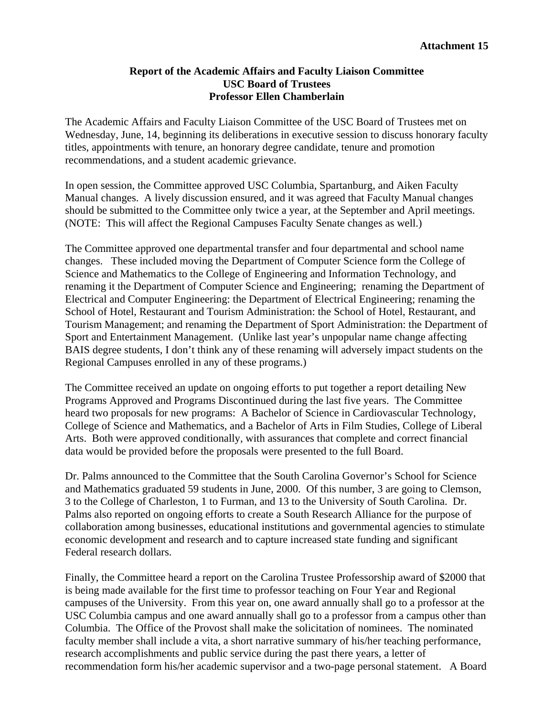#### **Report of the Academic Affairs and Faculty Liaison Committee USC Board of Trustees Professor Ellen Chamberlain**

The Academic Affairs and Faculty Liaison Committee of the USC Board of Trustees met on Wednesday, June, 14, beginning its deliberations in executive session to discuss honorary faculty titles, appointments with tenure, an honorary degree candidate, tenure and promotion recommendations, and a student academic grievance.

In open session, the Committee approved USC Columbia, Spartanburg, and Aiken Faculty Manual changes. A lively discussion ensured, and it was agreed that Faculty Manual changes should be submitted to the Committee only twice a year, at the September and April meetings. (NOTE: This will affect the Regional Campuses Faculty Senate changes as well.)

The Committee approved one departmental transfer and four departmental and school name changes. These included moving the Department of Computer Science form the College of Science and Mathematics to the College of Engineering and Information Technology, and renaming it the Department of Computer Science and Engineering; renaming the Department of Electrical and Computer Engineering: the Department of Electrical Engineering; renaming the School of Hotel, Restaurant and Tourism Administration: the School of Hotel, Restaurant, and Tourism Management; and renaming the Department of Sport Administration: the Department of Sport and Entertainment Management. (Unlike last year's unpopular name change affecting BAIS degree students, I don't think any of these renaming will adversely impact students on the Regional Campuses enrolled in any of these programs.)

The Committee received an update on ongoing efforts to put together a report detailing New Programs Approved and Programs Discontinued during the last five years. The Committee heard two proposals for new programs: A Bachelor of Science in Cardiovascular Technology, College of Science and Mathematics, and a Bachelor of Arts in Film Studies, College of Liberal Arts. Both were approved conditionally, with assurances that complete and correct financial data would be provided before the proposals were presented to the full Board.

Dr. Palms announced to the Committee that the South Carolina Governor's School for Science and Mathematics graduated 59 students in June, 2000. Of this number, 3 are going to Clemson, 3 to the College of Charleston, 1 to Furman, and 13 to the University of South Carolina. Dr. Palms also reported on ongoing efforts to create a South Research Alliance for the purpose of collaboration among businesses, educational institutions and governmental agencies to stimulate economic development and research and to capture increased state funding and significant Federal research dollars.

Finally, the Committee heard a report on the Carolina Trustee Professorship award of \$2000 that is being made available for the first time to professor teaching on Four Year and Regional campuses of the University. From this year on, one award annually shall go to a professor at the USC Columbia campus and one award annually shall go to a professor from a campus other than Columbia. The Office of the Provost shall make the solicitation of nominees. The nominated faculty member shall include a vita, a short narrative summary of his/her teaching performance, research accomplishments and public service during the past there years, a letter of recommendation form his/her academic supervisor and a two-page personal statement. A Board